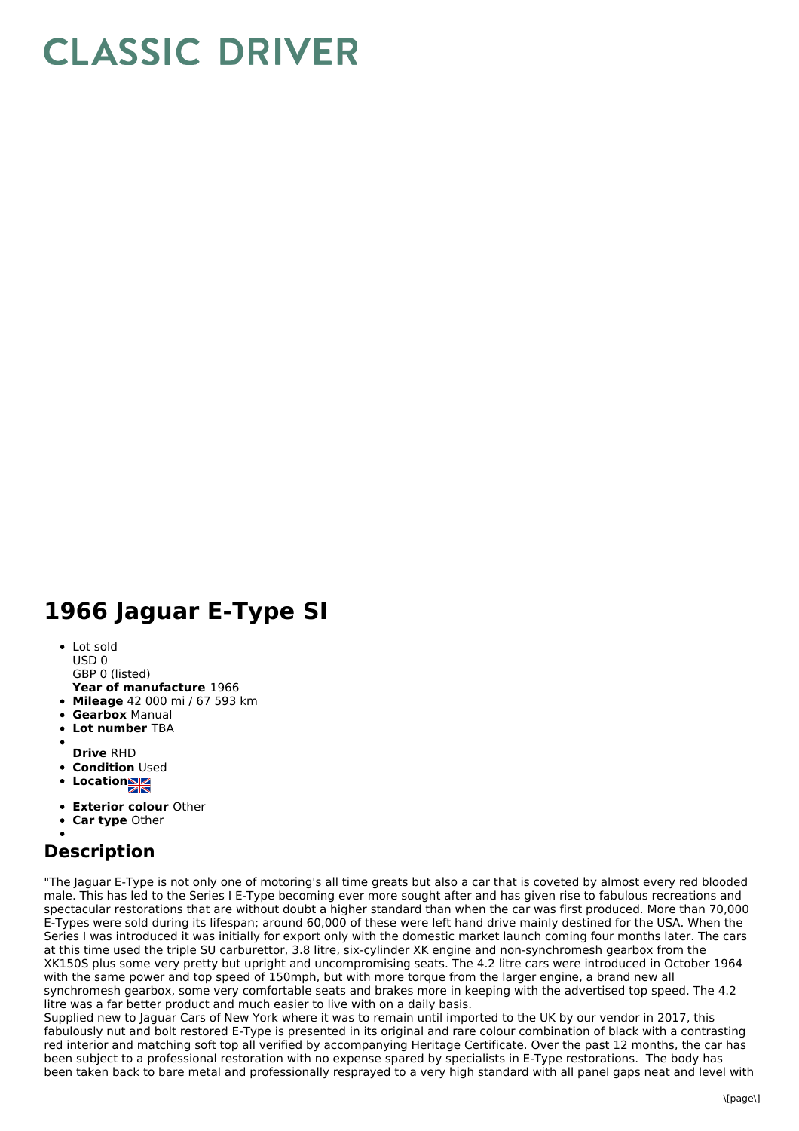## **CLASSIC DRIVER**

## **1966 Jaguar E-Type SI**

- Lot sold USD 0
	- GBP 0 (listed)
- **Year of manufacture** 1966
- **Mileage** 42 000 mi / 67 593 km
- **Gearbox** Manual
- **Lot number** TBA
- 
- **Drive** RHD
- **Condition Used**
- Location**NE**
- **Exterior colour** Other
- **Car type** Other

## **Description**

"The Jaguar E-Type is not only one of motoring's all time greats but also a car that is coveted by almost every red blooded male. This has led to the Series I E-Type becoming ever more sought after and has given rise to fabulous recreations and spectacular restorations that are without doubt a higher standard than when the car was first produced. More than 70,000 E-Types were sold during its lifespan; around 60,000 of these were left hand drive mainly destined for the USA. When the Series I was introduced it was initially for export only with the domestic market launch coming four months later. The cars at this time used the triple SU carburettor, 3.8 litre, six-cylinder XK engine and non-synchromesh gearbox from the XK150S plus some very pretty but upright and uncompromising seats. The 4.2 litre cars were introduced in October 1964 with the same power and top speed of 150mph, but with more torque from the larger engine, a brand new all synchromesh gearbox, some very comfortable seats and brakes more in keeping with the advertised top speed. The 4.2 litre was a far better product and much easier to live with on a daily basis.

Supplied new to Jaguar Cars of New York where it was to remain until imported to the UK by our vendor in 2017, this fabulously nut and bolt restored E-Type is presented in its original and rare colour combination of black with a contrasting red interior and matching soft top all verified by accompanying Heritage Certificate. Over the past 12 months, the car has been subject to a professional restoration with no expense spared by specialists in E-Type restorations. The body has been taken back to bare metal and professionally resprayed to a very high standard with all panel gaps neat and level with